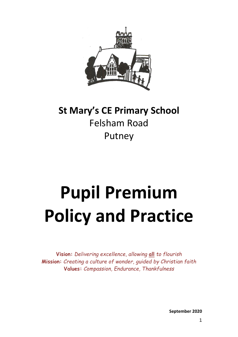

## **St Mary's CE Primary School** Felsham Road Putney

# **Pupil Premium Policy and Practice**

**Vision:** *Delivering excellence, allowing* **all** *to flourish* **Mission:** *Creating a culture of wonder, guided by Christian faith* **Values:** *Compassion, Endurance, Thankfulness*

**September 2020**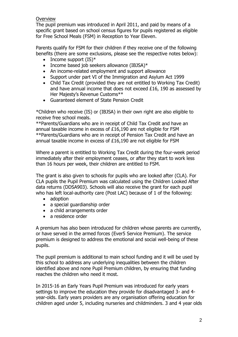#### **Overview**

The pupil premium was introduced in April 2011, and paid by means of a specific grant based on school census figures for pupils registered as eligible for Free School Meals (FSM) in Reception to Year Eleven.

Parents qualify for FSM for their children if they receive one of the following benefits (there are some exclusions, please see the respective notes below):

- Income support  $(IS)^*$
- Income based job seekers allowance (IBJSA) $*$
- An income-related employment and support allowance
- Support under part VI of the Immigration and Asylum Act 1999
- Child Tax Credit (provided they are not entitled to Working Tax Credit) and have annual income that does not exceed £16, 190 as assessed by Her Majesty's Revenue Customs\*\*
- Guaranteed element of State Pension Credit

\*Children who receive (IS) or (IBJSA) in their own right are also eligible to receive free school meals.

\*\*Parents/Guardians who are in receipt of Child Tax Credit and have an annual taxable income in excess of £16,190 are not eligible for FSM \*\*Parents/Guardians who are in receipt of Pension Tax Credit and have an annual taxable income in excess of £16,190 are not eligible for FSM

Where a parent is entitled to Working Tax Credit during the four-week period immediately after their employment ceases, or after they start to work less than 16 hours per week, their children are entitled to FSM.

The grant is also given to schools for pupils who are looked after (CLA). For CLA pupils the Pupil Premium was calculated using the Children Looked After data returns (DDSA903). Schools will also receive the grant for each pupil who has left local-authority care (Post LAC) because of 1 of the following:

- adoption
- a special quardianship order
- a child arrangements order
- a residence order

A premium has also been introduced for children whose parents are currently, or have served in the armed forces (Ever5 Service Premium). The service premium is designed to address the emotional and social well-being of these pupils.

The pupil premium is additional to main school funding and it will be used by this school to address any underlying inequalities between the children identified above and none Pupil Premium children, by ensuring that funding reaches the children who need it most.

In 2015-16 an Early Years Pupil Premium was introduced for early years settings to improve the education they provide for disadvantaged 3- and 4 year-olds. Early years providers are any organisation offering education for children aged under 5, including nurseries and childminders. 3 and 4 year olds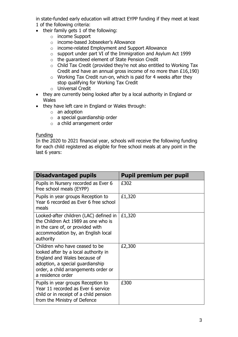in state-funded early education will attract EYPP funding if they meet at least 1 of the following criteria:

- their family gets 1 of the following:
	- o income Support
	- o income-based Jobseeker's Allowance
	- o income-related Employment and Support Allowance
	- o support under part VI of the Immigration and Asylum Act 1999
	- o the guaranteed element of State Pension Credit
	- o Child Tax Credit (provided they're not also entitled to Working Tax Credit and have an annual gross income of no more than £16,190)
	- o Working Tax Credit run-on, which is paid for 4 weeks after they stop qualifying for Working Tax Credit
	- o Universal Credit
- they are currently being looked after by a local authority in England or **Wales**
- they have left care in England or Wales through:
	- o an adoption
	- o a special guardianship order
	- o a child arrangement order

#### Funding

In the 2020 to 2021 financial year, schools will receive the following funding for each child registered as eligible for free school meals at any point in the last 6 years:

| <b>Disadvantaged pupils</b>                                                                                                                                                                             | <b>Pupil premium per pupil</b> |
|---------------------------------------------------------------------------------------------------------------------------------------------------------------------------------------------------------|--------------------------------|
| Pupils in Nursery recorded as Ever 6<br>free school meals (EYPP)                                                                                                                                        | £302                           |
| Pupils in year groups Reception to<br>Year 6 recorded as Ever 6 free school<br>meals                                                                                                                    | £1,320                         |
| Looked-after children (LAC) defined in<br>the Children Act 1989 as one who is<br>in the care of, or provided with<br>accommodation by, an English local<br>authority                                    | £1,320                         |
| Children who have ceased to be<br>looked after by a local authority in<br>England and Wales because of<br>adoption, a special guardianship<br>order, a child arrangements order or<br>a residence order | £2,300                         |
| Pupils in year groups Reception to<br>Year 11 recorded as Ever 6 service<br>child or in receipt of a child pension<br>from the Ministry of Defence                                                      | £300                           |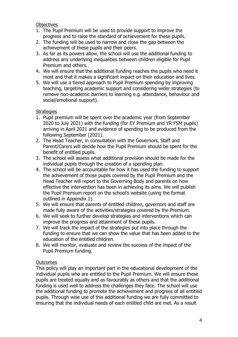**Objectives** 

- 1. The Pupil Premium will be used to provide support to improve the progress and to raise the standard of achievement for these pupils.
- 2. The funding will be used to narrow and close the gap between the achievement of these pupils and their peers.
- 3. As far as its powers allow, the school will use the additional funding to address any underlying inequalities between children eligible for Pupil Premium and others.
- 4. We will ensure that the additional funding reaches the pupils who need it most and that it makes a significant impact on their education and lives.
- 5. We will use a tiered approach to Pupil Premium spending by improving teaching, targeting academic support and considering wider strategies (to remove non-academic barriers to learning e.g. attendance, behaviour and social/emotional support).

#### **Strategies**

- 1. Pupil premium will be spent over the academic year (from September 2020 to July 2021) with the funding (for EY Premium and YR FSM pupils) arriving in April 2021 and evidence of spending to be produced from the following September (2021).
- 2. The Head Teacher, in consultation with the Governors, Staff and Parent/Carers will decide how the Pupil Premium should be spent for the benefit of entitled pupils.
- 3. The school will assess what additional provision should be made for the individual pupils through the creation of a spending plan.
- 4. The school will be accountable for how it has used the funding to support the achievement of those pupils covered by the Pupil Premium and the Head Teacher will report to the Governing Body and parents on how effective the intervention has been in achieving its aims. We will publish the Pupil Premium report on the school's website (using the format outlined in Appendix 1).
- 5. We will ensure that parents of entitled children, governors and staff are made fully aware of the activities/strategies covered by the Premium.
- 6. We will seek to further develop strategies and interventions which can improve the progress and attainment of these pupils.
- 7. We will track the impact of the strategies put into place through the funding to ensure that we can show the value that has been added to the education of the entitled children.
- 8. We will monitor, evaluate and review the success of the impact of the Pupil Premium funding.

#### **Outcomes**

This policy will play an important part in the educational development of the individual pupils who are entitled to the Pupil Premium. We will ensure these pupils are treated equally and as favourably as others and that the additional funding is used well to address the challenges they face. The school will use the additional funding to promote the achievement and progress of all entitled pupils. Through wise use of this additional funding we are fully committed to ensuring that the individual needs of each entitled child are met. As a result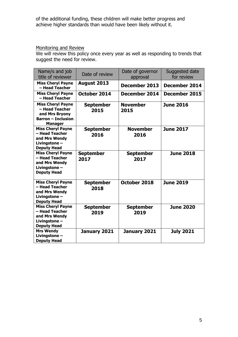of the additional funding, these children will make better progress and achieve higher standards than would have been likely without it.

#### Monitoring and Review

We will review this policy once every year as well as responding to trends that suggest the need for review.

| Name/s and job<br>title of reviewer                                                                         | Date of review           | Date of governor<br>approval | Suggested date<br>for review |
|-------------------------------------------------------------------------------------------------------------|--------------------------|------------------------------|------------------------------|
| <b>Miss Cheryl Payne</b><br>- Head Teacher                                                                  | August 2013              | December 2013                | <b>December 2014</b>         |
| <b>Miss Cheryl Payne</b><br>- Head Teacher                                                                  | October 2014             | December 2014                | December 2015                |
| <b>Miss Cheryl Payne</b><br>- Head Teacher<br>and Mrs Bryony<br><b>Barron - Inclusion</b><br><b>Manager</b> | <b>September</b><br>2015 | <b>November</b><br>2015      | <b>June 2016</b>             |
| <b>Miss Cheryl Payne</b><br>– Head Teacher<br>and Mrs Wendy<br>Livingstone-<br><b>Deputy Head</b>           | <b>September</b><br>2016 | <b>November</b><br>2016      | <b>June 2017</b>             |
| <b>Miss Cheryl Payne</b><br>- Head Teacher<br>and Mrs Wendy<br>Livingstone-<br><b>Deputy Head</b>           | <b>September</b><br>2017 | <b>September</b><br>2017     | <b>June 2018</b>             |
| <b>Miss Cheryl Payne</b><br>- Head Teacher<br>and Mrs Wendy<br>Livingstone -<br><b>Deputy Head</b>          | <b>September</b><br>2018 | October 2018                 | <b>June 2019</b>             |
| <b>Miss Cheryl Payne</b><br>- Head Teacher<br>and Mrs Wendy<br>Livingstone -<br><b>Deputy Head</b>          | <b>September</b><br>2019 | <b>September</b><br>2019     | <b>June 2020</b>             |
| <b>Mrs Wendy</b><br>Livingstone -<br><b>Deputy Head</b>                                                     | January 2021             | January 2021                 | <b>July 2021</b>             |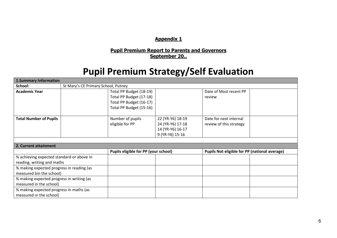#### **Appendix 1**

#### **Pupil Premium Report to Parents and Governors September 20..**

### **Pupil Premium Strategy/Self Evaluation**

| <b>1.Summary Information</b>              |                                     |                                      |                  |                                                      |  |  |  |  |  |
|-------------------------------------------|-------------------------------------|--------------------------------------|------------------|------------------------------------------------------|--|--|--|--|--|
| School:                                   | St Mary's CE Primary School, Putney |                                      |                  |                                                      |  |  |  |  |  |
| <b>Academic Year</b>                      |                                     | Total PP Budget (18-19)              |                  | Date of Most recent PP                               |  |  |  |  |  |
|                                           |                                     | Total PP Budget (17-18)              |                  | review                                               |  |  |  |  |  |
|                                           |                                     | Total PP Budget (16-17)              |                  |                                                      |  |  |  |  |  |
|                                           |                                     | Total PP Budget (15-16)              |                  |                                                      |  |  |  |  |  |
|                                           |                                     |                                      |                  |                                                      |  |  |  |  |  |
| <b>Total Number of Pupils</b>             |                                     | Number of pupils                     | 22 (YR-Y6) 18-19 | Date for next internal                               |  |  |  |  |  |
|                                           |                                     | eligible for PP                      | 24 (YR-Y6) 17-18 | review of this strategy                              |  |  |  |  |  |
|                                           |                                     |                                      | 14 (YR-Y6) 16-17 |                                                      |  |  |  |  |  |
|                                           |                                     |                                      | 9 (YR-Y6) 15-16  |                                                      |  |  |  |  |  |
|                                           |                                     |                                      |                  |                                                      |  |  |  |  |  |
|                                           |                                     |                                      |                  |                                                      |  |  |  |  |  |
| 2. Current attainment                     |                                     |                                      |                  |                                                      |  |  |  |  |  |
|                                           |                                     | Pupils eligible for PP (your school) |                  | <b>Pupils Not eligible for PP (national average)</b> |  |  |  |  |  |
| % achieving expected standard or above in |                                     |                                      |                  |                                                      |  |  |  |  |  |
| reading, writing and maths                |                                     |                                      |                  |                                                      |  |  |  |  |  |
| % making expected progress in reading (as |                                     |                                      |                  |                                                      |  |  |  |  |  |
| measured bin the school)                  |                                     |                                      |                  |                                                      |  |  |  |  |  |
| % making expected progress in writing (as |                                     |                                      |                  |                                                      |  |  |  |  |  |
| measured in the school)                   |                                     |                                      |                  |                                                      |  |  |  |  |  |
| % making expected progress in maths (as   |                                     |                                      |                  |                                                      |  |  |  |  |  |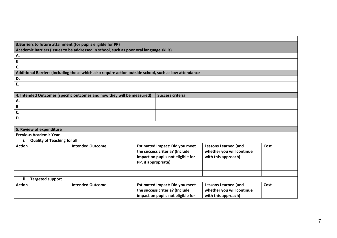| 3. Barriers to future attainment (for pupils eligible for PP) |                                    |                                                                                                       |                                   |                                       |                             |      |  |
|---------------------------------------------------------------|------------------------------------|-------------------------------------------------------------------------------------------------------|-----------------------------------|---------------------------------------|-----------------------------|------|--|
|                                                               |                                    | Academic Barriers (issues to be addressed in school, such as poor oral language skills)               |                                   |                                       |                             |      |  |
| А.                                                            |                                    |                                                                                                       |                                   |                                       |                             |      |  |
| В.                                                            |                                    |                                                                                                       |                                   |                                       |                             |      |  |
| C.                                                            |                                    |                                                                                                       |                                   |                                       |                             |      |  |
|                                                               |                                    | Additional Barriers (including those which also require action outside school, such as low attendance |                                   |                                       |                             |      |  |
| D.                                                            |                                    |                                                                                                       |                                   |                                       |                             |      |  |
| Ε.                                                            |                                    |                                                                                                       |                                   |                                       |                             |      |  |
|                                                               |                                    |                                                                                                       |                                   |                                       |                             |      |  |
|                                                               |                                    | 4. Intended Outcomes (specific outcomes and how they will be measured)                                |                                   | <b>Success criteria</b>               |                             |      |  |
| А.                                                            |                                    |                                                                                                       |                                   |                                       |                             |      |  |
| В.                                                            |                                    |                                                                                                       |                                   |                                       |                             |      |  |
| C.                                                            |                                    |                                                                                                       |                                   |                                       |                             |      |  |
| D.                                                            |                                    |                                                                                                       |                                   |                                       |                             |      |  |
|                                                               |                                    |                                                                                                       |                                   |                                       |                             |      |  |
| 5. Review of expenditure                                      |                                    |                                                                                                       |                                   |                                       |                             |      |  |
| <b>Previous Academic Year</b>                                 |                                    |                                                                                                       |                                   |                                       |                             |      |  |
| i.                                                            | <b>Quality of Teaching for all</b> |                                                                                                       |                                   |                                       |                             |      |  |
| <b>Action</b>                                                 |                                    | <b>Intended Outcome</b>                                                                               |                                   | <b>Estimated Impact: Did you meet</b> | <b>Lessons Learned (and</b> | Cost |  |
|                                                               |                                    |                                                                                                       | the success criteria? (Include    |                                       | whether you will continue   |      |  |
|                                                               |                                    |                                                                                                       | impact on pupils not eligible for |                                       | with this approach)         |      |  |
|                                                               |                                    |                                                                                                       | PP, if appropriate)               |                                       |                             |      |  |
|                                                               |                                    |                                                                                                       |                                   |                                       |                             |      |  |
|                                                               |                                    |                                                                                                       |                                   |                                       |                             |      |  |
| ii.                                                           | <b>Targeted support</b>            |                                                                                                       |                                   |                                       |                             |      |  |
| <b>Action</b>                                                 |                                    | <b>Intended Outcome</b>                                                                               |                                   | <b>Estimated Impact: Did you meet</b> | <b>Lessons Learned (and</b> | Cost |  |
|                                                               |                                    |                                                                                                       |                                   | the success criteria? (Include        | whether you will continue   |      |  |
|                                                               |                                    |                                                                                                       |                                   | impact on pupils not eligible for     | with this approach)         |      |  |

┍

Ξ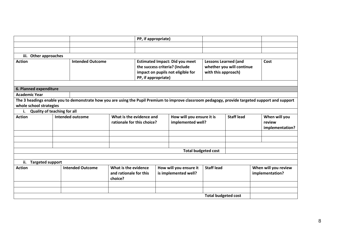|                                          |  |                                                                                                                                                  | PP, if appropriate)        |                                   |                                       |                                             |                             |                      |                 |                 |
|------------------------------------------|--|--------------------------------------------------------------------------------------------------------------------------------------------------|----------------------------|-----------------------------------|---------------------------------------|---------------------------------------------|-----------------------------|----------------------|-----------------|-----------------|
|                                          |  |                                                                                                                                                  |                            |                                   |                                       |                                             |                             |                      |                 |                 |
|                                          |  |                                                                                                                                                  |                            |                                   |                                       |                                             |                             |                      |                 |                 |
| iii. Other approaches                    |  |                                                                                                                                                  |                            |                                   |                                       |                                             |                             |                      |                 |                 |
| <b>Action</b>                            |  | <b>Intended Outcome</b>                                                                                                                          |                            |                                   | <b>Estimated Impact: Did you meet</b> |                                             | <b>Lessons Learned (and</b> |                      |                 | Cost            |
|                                          |  |                                                                                                                                                  |                            | the success criteria? (Include    |                                       | whether you will continue                   |                             |                      |                 |                 |
|                                          |  |                                                                                                                                                  |                            | impact on pupils not eligible for |                                       |                                             | with this approach)         |                      |                 |                 |
|                                          |  |                                                                                                                                                  |                            | PP, if appropriate)               |                                       |                                             |                             |                      |                 |                 |
|                                          |  |                                                                                                                                                  |                            |                                   |                                       |                                             |                             |                      |                 |                 |
| 6. Planned expenditure                   |  |                                                                                                                                                  |                            |                                   |                                       |                                             |                             |                      |                 |                 |
| <b>Academic Year</b>                     |  |                                                                                                                                                  |                            |                                   |                                       |                                             |                             |                      |                 |                 |
|                                          |  | The 3 headings enable you to demonstrate how you are using the Pupil Premium to improve classroom pedagogy, provide targeted support and support |                            |                                   |                                       |                                             |                             |                      |                 |                 |
| whole school strategies                  |  |                                                                                                                                                  |                            |                                   |                                       |                                             |                             |                      |                 |                 |
| <b>Quality of teaching for all</b><br>i. |  |                                                                                                                                                  |                            |                                   |                                       |                                             |                             |                      |                 |                 |
| <b>Action</b>                            |  | <b>Intended outcome</b>                                                                                                                          | What is the evidence and   |                                   | How will you ensure it is             |                                             | <b>Staff lead</b>           |                      | When will you   |                 |
|                                          |  |                                                                                                                                                  | rationale for this choice? | implemented well?                 |                                       |                                             |                             |                      | review          |                 |
|                                          |  |                                                                                                                                                  |                            |                                   |                                       |                                             |                             |                      |                 | implementation? |
|                                          |  |                                                                                                                                                  |                            |                                   |                                       |                                             |                             |                      |                 |                 |
|                                          |  |                                                                                                                                                  |                            |                                   |                                       |                                             |                             |                      |                 |                 |
|                                          |  |                                                                                                                                                  |                            |                                   |                                       |                                             |                             |                      |                 |                 |
|                                          |  |                                                                                                                                                  |                            |                                   |                                       | <b>Total budgeted cost</b>                  |                             |                      |                 |                 |
|                                          |  |                                                                                                                                                  |                            |                                   |                                       |                                             |                             |                      |                 |                 |
| ii.<br><b>Targeted support</b>           |  |                                                                                                                                                  |                            |                                   |                                       |                                             |                             |                      |                 |                 |
| <b>Intended Outcome</b><br><b>Action</b> |  |                                                                                                                                                  | What is the evidence       |                                   |                                       | How will you ensure it<br><b>Staff lead</b> |                             | When will you review |                 |                 |
|                                          |  | and rationale for this                                                                                                                           | is implemented well?       |                                   |                                       |                                             |                             |                      | implementation? |                 |
|                                          |  |                                                                                                                                                  | choice?                    |                                   |                                       |                                             |                             |                      |                 |                 |
|                                          |  |                                                                                                                                                  |                            |                                   |                                       |                                             |                             |                      |                 |                 |
|                                          |  |                                                                                                                                                  |                            |                                   |                                       |                                             |                             |                      |                 |                 |
|                                          |  |                                                                                                                                                  |                            |                                   |                                       |                                             | <b>Total budgeted cost</b>  |                      |                 |                 |